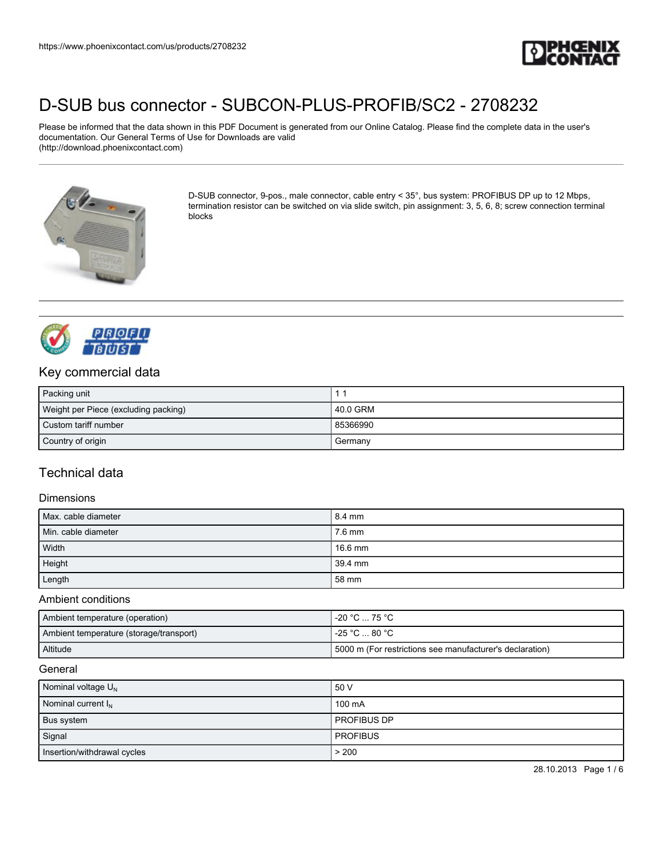

Please be informed that the data shown in this PDF Document is generated from our Online Catalog. Please find the complete data in the user's documentation. Our General Terms of Use for Downloads are valid (http://download.phoenixcontact.com)



D-SUB connector, 9-pos., male connector, cable entry < 35°, bus system: PROFIBUS DP up to 12 Mbps, termination resistor can be switched on via slide switch, pin assignment: 3, 5, 6, 8; screw connection terminal blocks



## Key commercial data

| Packing unit                         |          |
|--------------------------------------|----------|
| Weight per Piece (excluding packing) | 40.0 GRM |
| Custom tariff number                 | 85366990 |
| Country of origin                    | Germany  |

# Technical data

#### **Dimensions**

| Max. cable diameter | 8.4 mm  |
|---------------------|---------|
| Min. cable diameter | 7.6 mm  |
| Width               | 16.6 mm |
| Height              | 39.4 mm |
| Length              | 58 mm   |

#### Ambient conditions

| Ambient temperature (operation)         | l -20 °C  75 °C .                                         |
|-----------------------------------------|-----------------------------------------------------------|
| Ambient temperature (storage/transport) | l -25 °C … 80 °C .                                        |
| Altitude                                | 15000 m (For restrictions see manufacturer's declaration) |

#### **General**

| Nominal voltage $U_N$          | 50 V            |
|--------------------------------|-----------------|
| Nominal current I <sub>N</sub> | 100 mA          |
| Bus system                     | PROFIBUS DP     |
| Signal                         | <b>PROFIBUS</b> |
| Insertion/withdrawal cycles    | > 200           |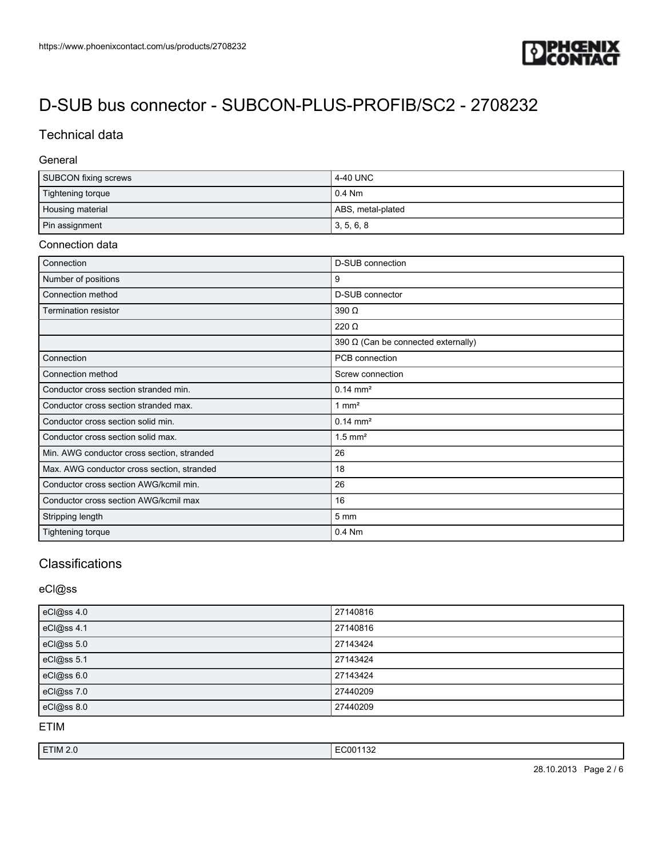

# Technical data

#### General

| SUBCON fixing screws | 4-40 UNC          |
|----------------------|-------------------|
| Tightening torque    | $0.4$ Nm          |
| Housing material     | ABS, metal-plated |
| Pin assignment       | 3, 5, 6, 8        |

#### Connection data

| Connection                                 | <b>D-SUB</b> connection                    |
|--------------------------------------------|--------------------------------------------|
| Number of positions                        | 9                                          |
| Connection method                          | D-SUB connector                            |
| <b>Termination resistor</b>                | 390 Ω                                      |
|                                            | $220 \Omega$                               |
|                                            | 390 $\Omega$ (Can be connected externally) |
| Connection                                 | PCB connection                             |
| Connection method                          | Screw connection                           |
| Conductor cross section stranded min.      | $0.14 \text{ mm}^2$                        |
| Conductor cross section stranded max.      | 1 $mm2$                                    |
| Conductor cross section solid min.         | $0.14 \text{ mm}^2$                        |
| Conductor cross section solid max.         | $1.5$ mm <sup>2</sup>                      |
| Min. AWG conductor cross section, stranded | 26                                         |
| Max. AWG conductor cross section, stranded | 18                                         |
| Conductor cross section AWG/kcmil min.     | 26                                         |
| Conductor cross section AWG/kcmil max      | 16                                         |
| Stripping length                           | $5 \, \text{mm}$                           |
| <b>Tightening torque</b>                   | 0.4 Nm                                     |

# Classifications

### eCl@ss

| eCl@ss 4.0 | 27140816 |
|------------|----------|
| eCl@ss 4.1 | 27140816 |
| eCl@ss 5.0 | 27143424 |
| eCl@ss 5.1 | 27143424 |
| eCl@ss 6.0 | 27143424 |
| eCl@ss 7.0 | 27440209 |
| eCl@ss 8.0 | 27440209 |

ETIM

| ETIM 2.0 | $\overline{\phantom{a}}$<br>.<br>.<br>ے ر<br>. |
|----------|------------------------------------------------|
|          |                                                |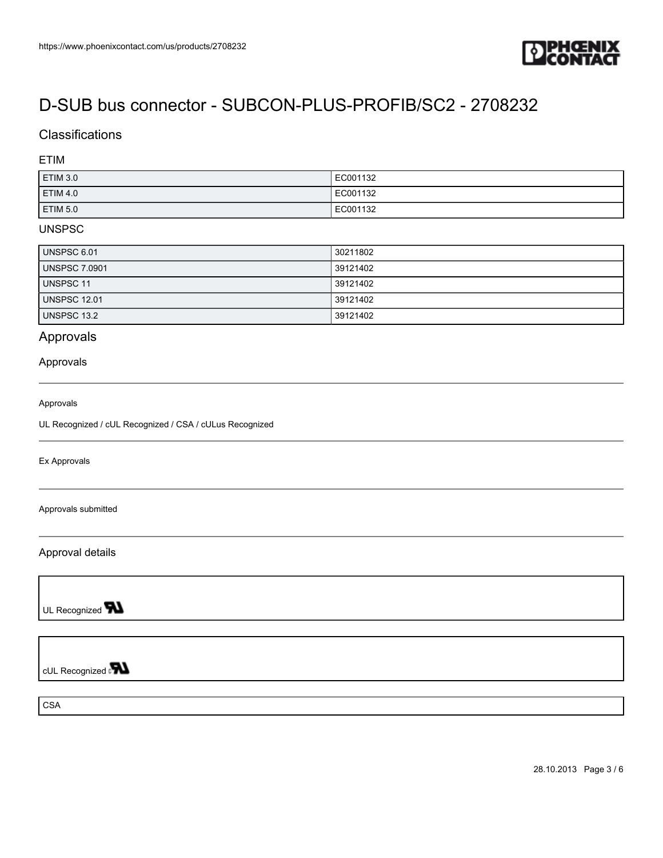

## **Classifications**

#### ETIM

| ETIM 3.0        | EC001132 |
|-----------------|----------|
| ETIM 4.0        | EC001132 |
| <b>ETIM 5.0</b> | EC001132 |

#### UNSPSC

| UNSPSC 6.01          | 30211802 |
|----------------------|----------|
| <b>UNSPSC 7.0901</b> | 39121402 |
| UNSPSC 11            | 39121402 |
| <b>UNSPSC 12.01</b>  | 39121402 |
| UNSPSC 13.2          | 39121402 |

## Approvals

#### Approvals

#### Approvals

UL Recognized / cUL Recognized / CSA / cULus Recognized

Ex Approvals

Approvals submitted

Approval details

UL Recognized **TN** 

cUL Recognized and

**CSA**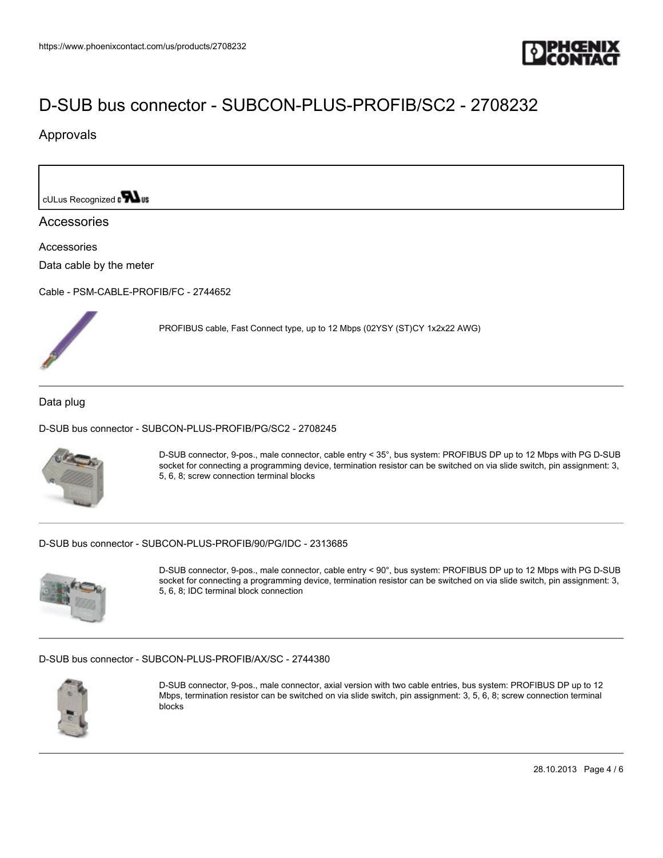

PROFIBUS cable, Fast Connect type, up to 12 Mbps (02YSY (ST)CY 1x2x22 AWG)

## Approvals

cULus Recognized on **Was** 

#### Accessories

Accessories

Data cable by the meter

[Cable - PSM-CABLE-PROFIB/FC - 2744652](https://www.phoenixcontact.com/us/products/2744652)



Data plug

[D-SUB bus connector - SUBCON-PLUS-PROFIB/PG/SC2 - 2708245](https://www.phoenixcontact.com/us/products/2708245)



D-SUB connector, 9-pos., male connector, cable entry < 35°, bus system: PROFIBUS DP up to 12 Mbps with PG D-SUB socket for connecting a programming device, termination resistor can be switched on via slide switch, pin assignment: 3, 5, 6, 8; screw connection terminal blocks

[D-SUB bus connector - SUBCON-PLUS-PROFIB/90/PG/IDC - 2313685](https://www.phoenixcontact.com/us/products/2313685)



D-SUB connector, 9-pos., male connector, cable entry < 90°, bus system: PROFIBUS DP up to 12 Mbps with PG D-SUB socket for connecting a programming device, termination resistor can be switched on via slide switch, pin assignment: 3, 5, 6, 8; IDC terminal block connection

#### [D-SUB bus connector - SUBCON-PLUS-PROFIB/AX/SC - 2744380](https://www.phoenixcontact.com/us/products/2744380)



D-SUB connector, 9-pos., male connector, axial version with two cable entries, bus system: PROFIBUS DP up to 12 Mbps, termination resistor can be switched on via slide switch, pin assignment: 3, 5, 6, 8; screw connection terminal blocks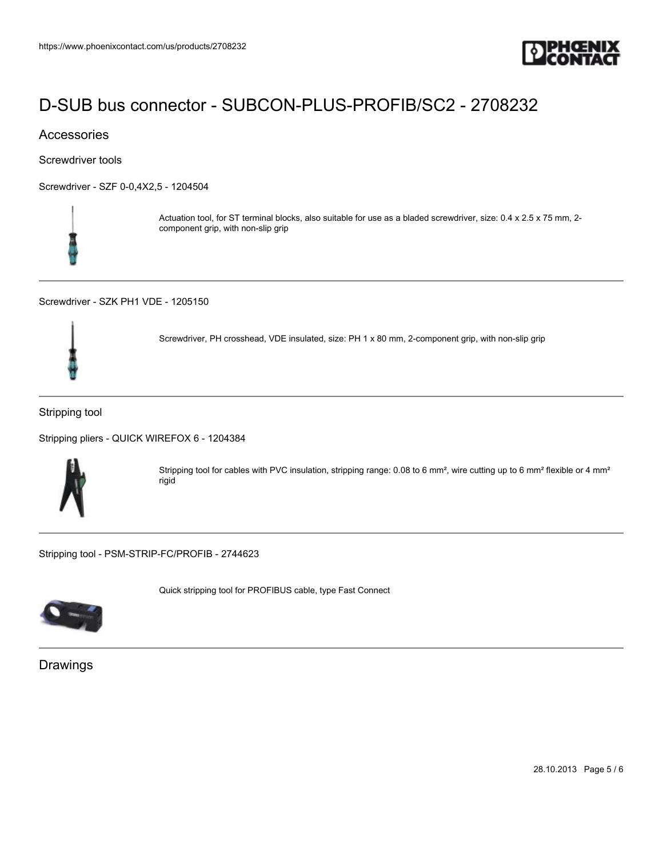

## Accessories

Screwdriver tools

[Screwdriver - SZF 0-0,4X2,5 - 1204504](https://www.phoenixcontact.com/us/products/1204504)



Actuation tool, for ST terminal blocks, also suitable for use as a bladed screwdriver, size: 0.4 x 2.5 x 75 mm, 2 component grip, with non-slip grip

[Screwdriver - SZK PH1 VDE - 1205150](https://www.phoenixcontact.com/us/products/1205150)



Screwdriver, PH crosshead, VDE insulated, size: PH 1 x 80 mm, 2-component grip, with non-slip grip

#### Stripping tool

[Stripping pliers - QUICK WIREFOX 6 - 1204384](https://www.phoenixcontact.com/us/products/1204384)



Stripping tool for cables with PVC insulation, stripping range: 0.08 to 6 mm<sup>2</sup>, wire cutting up to 6 mm<sup>2</sup> flexible or 4 mm<sup>2</sup> rigid

[Stripping tool - PSM-STRIP-FC/PROFIB - 2744623](https://www.phoenixcontact.com/us/products/2744623)



Quick stripping tool for PROFIBUS cable, type Fast Connect

Drawings